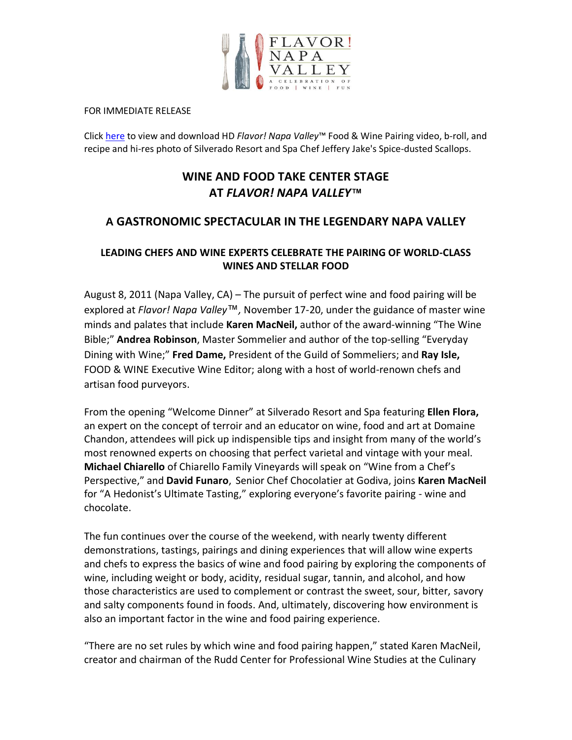

#### FOR IMMEDIATE RELEASE

Click [here](http://flavornapavalley.com/press-room/) to view and download HD *Flavor! Napa Valley*™ Food & Wine Pairing video, b-roll, and recipe and hi-res photo of Silverado Resort and Spa Chef Jeffery Jake's Spice-dusted Scallops.

# **WINE AND FOOD TAKE CENTER STAGE AT** *FLAVOR! NAPA VALLEY***™**

## **A GASTRONOMIC SPECTACULAR IN THE LEGENDARY NAPA VALLEY**

## **LEADING CHEFS AND WINE EXPERTS CELEBRATE THE PAIRING OF WORLD-CLASS WINES AND STELLAR FOOD**

August 8, 2011 (Napa Valley, CA) – The pursuit of perfect wine and food pairing will be explored at *Flavor! Napa Valley*™*,* November 17-20, under the guidance of master wine minds and palates that include **Karen MacNeil,** author of the award-winning "The Wine Bible;" **Andrea Robinson**, Master Sommelier and author of the top-selling "Everyday Dining with Wine;" **Fred Dame,** President of the Guild of Sommeliers; and **Ray Isle,** FOOD & WINE Executive Wine Editor; along with a host of world-renown chefs and artisan food purveyors.

From the opening "Welcome Dinner" at Silverado Resort and Spa featuring **Ellen Flora,** an expert on the concept of terroir and an educator on wine, food and art at Domaine Chandon, attendees will pick up indispensible tips and insight from many of the world's most renowned experts on choosing that perfect varietal and vintage with your meal. **Michael Chiarello** of Chiarello Family Vineyards will speak on "Wine from a Chef's Perspective," and **David Funaro**, Senior Chef Chocolatier at Godiva, joins **Karen MacNeil** for "A Hedonist's Ultimate Tasting," exploring everyone's favorite pairing - wine and chocolate.

The fun continues over the course of the weekend, with nearly twenty different demonstrations, tastings, pairings and dining experiences that will allow wine experts and chefs to express the basics of wine and food pairing by exploring the components of wine, including weight or body, acidity, residual sugar, tannin, and alcohol, and how those characteristics are used to complement or contrast the sweet, sour, bitter, savory and salty components found in foods. And, ultimately, discovering how environment is also an important factor in the wine and food pairing experience.

"There are no set rules by which wine and food pairing happen," stated Karen MacNeil, creator and chairman of the Rudd Center for Professional Wine Studies at the Culinary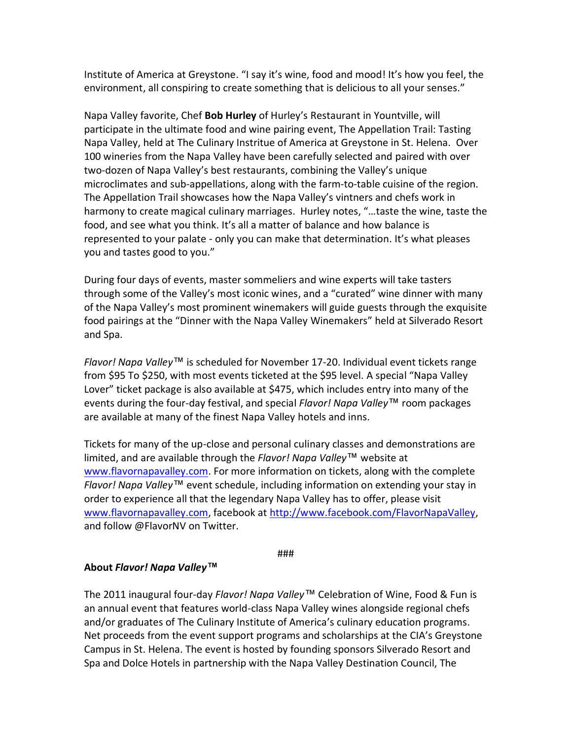Institute of America at Greystone. "I say it's wine, food and mood! It's how you feel, the environment, all conspiring to create something that is delicious to all your senses."

Napa Valley favorite, Chef **Bob Hurley** of Hurley's Restaurant in Yountville, will participate in the ultimate food and wine pairing event, The Appellation Trail: Tasting Napa Valley, held at The Culinary Instritue of America at Greystone in St. Helena. Over 100 wineries from the Napa Valley have been carefully selected and paired with over two-dozen of Napa Valley's best restaurants, combining the Valley's unique microclimates and sub-appellations, along with the farm-to-table cuisine of the region. The Appellation Trail showcases how the Napa Valley's vintners and chefs work in harmony to create magical culinary marriages. Hurley notes, "…taste the wine, taste the food, and see what you think. It's all a matter of balance and how balance is represented to your palate - only you can make that determination. It's what pleases you and tastes good to you."

During four days of events, master sommeliers and wine experts will take tasters through some of the Valley's most iconic wines, and a "curated" wine dinner with many of the Napa Valley's most prominent winemakers will guide guests through the exquisite food pairings at the "Dinner with the Napa Valley Winemakers" held at Silverado Resort and Spa.

*Flavor! Napa Valley*™ is scheduled for November 17-20. Individual event tickets range from \$95 To \$250, with most events ticketed at the \$95 level. A special "Napa Valley Lover" ticket package is also available at \$475, which includes entry into many of the events during the four-day festival, and special *Flavor! Napa Valley*™ room packages are available at many of the finest Napa Valley hotels and inns.

Tickets for many of the up-close and personal culinary classes and demonstrations are limited, and are available through the *Flavor! Napa Valley*™ website at [www.flavornapavalley.com.](http://www.flavornapavalley.com/) For more information on tickets, along with the complete *Flavor! Napa Valley*™ event schedule, including information on extending your stay in order to experience all that the legendary Napa Valley has to offer, please visit [www.flavornapavalley.com,](http://www.flavornapavalley.com/) facebook at [http://www.facebook.com/FlavorNapaValley,](http://www.facebook.com/FlavorNapaValley) and follow @FlavorNV on Twitter.

###

### **About** *Flavor! Napa Valley***™**

The 2011 inaugural four-day *Flavor! Napa Valley*™ Celebration of Wine, Food & Fun is an annual event that features world-class Napa Valley wines alongside regional chefs and/or graduates of The Culinary Institute of America's culinary education programs. Net proceeds from the event support programs and scholarships at the CIA's Greystone Campus in St. Helena. The event is hosted by founding sponsors Silverado Resort and Spa and Dolce Hotels in partnership with the Napa Valley Destination Council, The